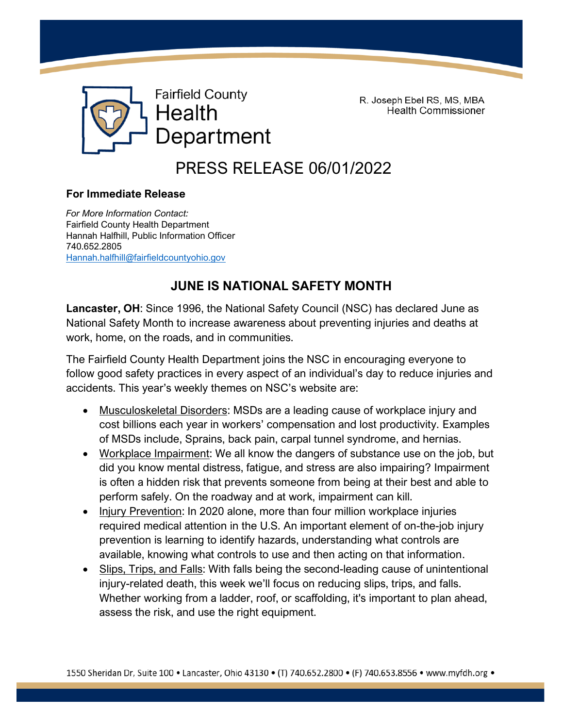

R. Joseph Ebel RS, MS, MBA **Health Commissioner** 

PRESS RELEASE 06/01/2022

## **For Immediate Release**

*For More Information Contact:*  Fairfield County Health Department Hannah Halfhill, Public Information Officer 740.652.2805 [Hannah.halfhill@fairfieldcountyohio.gov](mailto:Hannah.halfhill@fairfieldcountyohio.gov)

## **JUNE IS NATIONAL SAFETY MONTH**

**Lancaster, OH**: Since 1996, the National Safety Council (NSC) has declared June as National Safety Month to increase awareness about preventing injuries and deaths at work, home, on the roads, and in communities.

The Fairfield County Health Department joins the NSC in encouraging everyone to follow good safety practices in every aspect of an individual's day to reduce injuries and accidents. This year's weekly themes on NSC's website are:

- Musculoskeletal Disorders: MSDs are a leading cause of workplace injury and cost billions each year in workers' compensation and lost productivity. Examples of MSDs include, Sprains, back pain, carpal tunnel syndrome, and hernias.
- Workplace Impairment: We all know the dangers of substance use on the job, but did you know mental distress, fatigue, and stress are also impairing? Impairment is often a hidden risk that prevents someone from being at their best and able to perform safely. On the roadway and at work, impairment can kill.
- Injury Prevention: In 2020 alone, more than four million workplace injuries required medical attention in the U.S. An important element of on-the-job injury prevention is learning to identify hazards, understanding what controls are available, knowing what controls to use and then acting on that information.
- Slips, Trips, and Falls: With falls being the second-leading cause of unintentional injury-related death, this week we'll focus on reducing slips, trips, and falls. Whether working from a ladder, roof, or scaffolding, it's important to plan ahead, assess the risk, and use the right equipment.